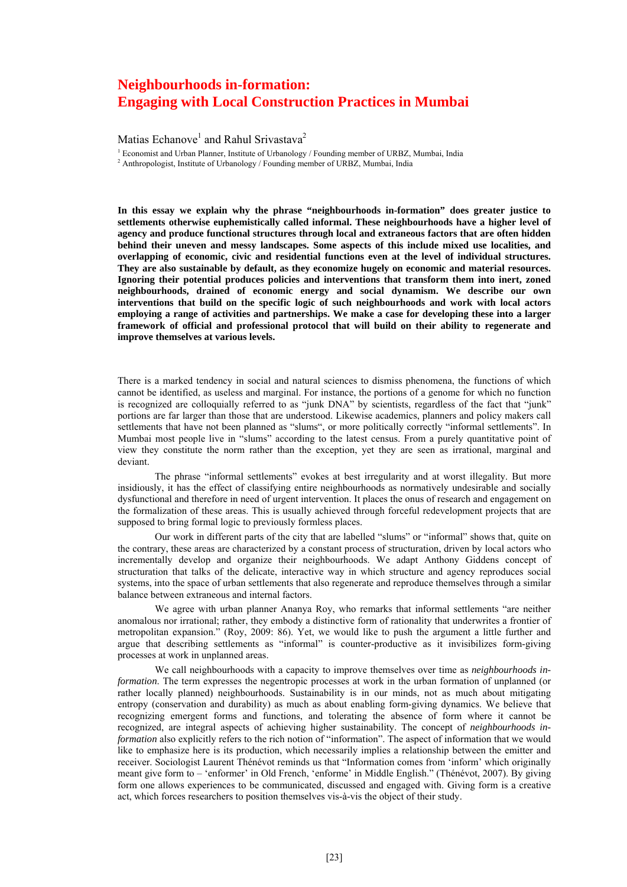## **Neighbourhoods in-formation: Engaging with Local Construction Practices in Mumbai**

Matias Echanove<sup>1</sup> and Rahul Srivastava<sup>2</sup>

<sup>1</sup> Economist and Urban Planner, Institute of Urbanology / Founding member of URBZ, Mumbai, India  $\frac{2}{3}$  Anthropologist Institute of Urbanology / Founding member of URBZ Mumbai, India

<sup>2</sup> Anthropologist, Institute of Urbanology / Founding member of URBZ, Mumbai, India

**In this essay we explain why the phrase "neighbourhoods in-formation" does greater justice to settlements otherwise euphemistically called informal. These neighbourhoods have a higher level of agency and produce functional structures through local and extraneous factors that are often hidden behind their uneven and messy landscapes. Some aspects of this include mixed use localities, and overlapping of economic, civic and residential functions even at the level of individual structures. They are also sustainable by default, as they economize hugely on economic and material resources. Ignoring their potential produces policies and interventions that transform them into inert, zoned neighbourhoods, drained of economic energy and social dynamism. We describe our own interventions that build on the specific logic of such neighbourhoods and work with local actors employing a range of activities and partnerships. We make a case for developing these into a larger framework of official and professional protocol that will build on their ability to regenerate and improve themselves at various levels.** 

There is a marked tendency in social and natural sciences to dismiss phenomena, the functions of which cannot be identified, as useless and marginal. For instance, the portions of a genome for which no function is recognized are colloquially referred to as "junk DNA" by scientists, regardless of the fact that "junk" portions are far larger than those that are understood. Likewise academics, planners and policy makers call settlements that have not been planned as "slums", or more politically correctly "informal settlements". In Mumbai most people live in "slums" according to the latest census. From a purely quantitative point of view they constitute the norm rather than the exception, yet they are seen as irrational, marginal and deviant.

The phrase "informal settlements" evokes at best irregularity and at worst illegality. But more insidiously, it has the effect of classifying entire neighbourhoods as normatively undesirable and socially dysfunctional and therefore in need of urgent intervention. It places the onus of research and engagement on the formalization of these areas. This is usually achieved through forceful redevelopment projects that are supposed to bring formal logic to previously formless places.

Our work in different parts of the city that are labelled "slums" or "informal" shows that, quite on the contrary, these areas are characterized by a constant process of structuration, driven by local actors who incrementally develop and organize their neighbourhoods. We adapt Anthony Giddens concept of structuration that talks of the delicate, interactive way in which structure and agency reproduces social systems, into the space of urban settlements that also regenerate and reproduce themselves through a similar balance between extraneous and internal factors.

We agree with urban planner Ananya Roy, who remarks that informal settlements "are neither anomalous nor irrational; rather, they embody a distinctive form of rationality that underwrites a frontier of metropolitan expansion." (Roy, 2009: 86). Yet, we would like to push the argument a little further and argue that describing settlements as "informal" is counter-productive as it invisibilizes form-giving processes at work in unplanned areas.

We call neighbourhoods with a capacity to improve themselves over time as *neighbourhoods information*. The term expresses the negentropic processes at work in the urban formation of unplanned (or rather locally planned) neighbourhoods. Sustainability is in our minds, not as much about mitigating entropy (conservation and durability) as much as about enabling form-giving dynamics. We believe that recognizing emergent forms and functions, and tolerating the absence of form where it cannot be recognized, are integral aspects of achieving higher sustainability. The concept of *neighbourhoods information* also explicitly refers to the rich notion of "information". The aspect of information that we would like to emphasize here is its production, which necessarily implies a relationship between the emitter and receiver. Sociologist Laurent Thénévot reminds us that "Information comes from 'inform' which originally meant give form to – 'enformer' in Old French, 'enforme' in Middle English." (Thénévot, 2007). By giving form one allows experiences to be communicated, discussed and engaged with. Giving form is a creative act, which forces researchers to position themselves vis-à-vis the object of their study.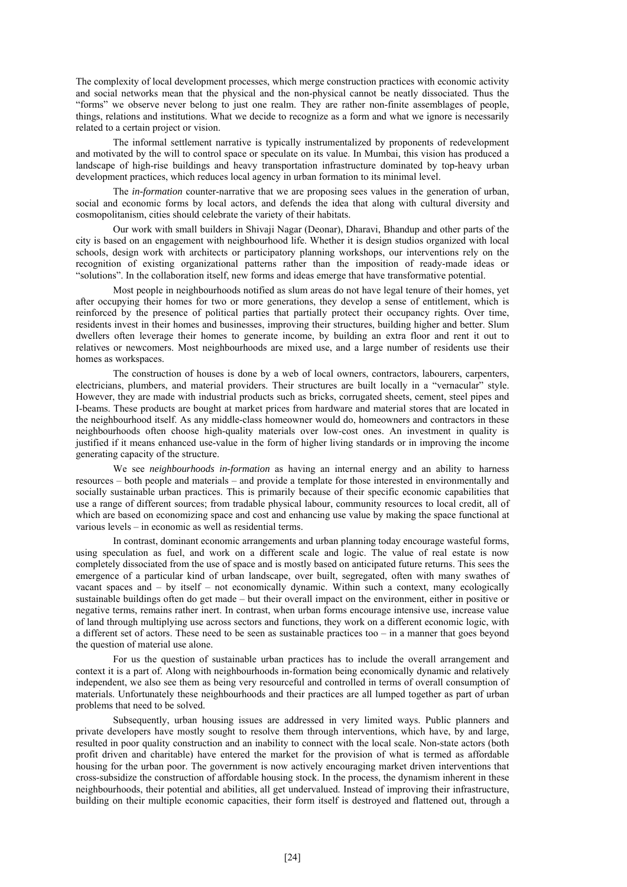The complexity of local development processes, which merge construction practices with economic activity and social networks mean that the physical and the non-physical cannot be neatly dissociated. Thus the "forms" we observe never belong to just one realm. They are rather non-finite assemblages of people, things, relations and institutions. What we decide to recognize as a form and what we ignore is necessarily related to a certain project or vision.

The informal settlement narrative is typically instrumentalized by proponents of redevelopment and motivated by the will to control space or speculate on its value. In Mumbai, this vision has produced a landscape of high-rise buildings and heavy transportation infrastructure dominated by top-heavy urban development practices, which reduces local agency in urban formation to its minimal level.

The *in-formation* counter-narrative that we are proposing sees values in the generation of urban, social and economic forms by local actors, and defends the idea that along with cultural diversity and cosmopolitanism, cities should celebrate the variety of their habitats.

Our work with small builders in Shivaji Nagar (Deonar), Dharavi, Bhandup and other parts of the city is based on an engagement with neighbourhood life. Whether it is design studios organized with local schools, design work with architects or participatory planning workshops, our interventions rely on the recognition of existing organizational patterns rather than the imposition of ready-made ideas or "solutions". In the collaboration itself, new forms and ideas emerge that have transformative potential.

Most people in neighbourhoods notified as slum areas do not have legal tenure of their homes, yet after occupying their homes for two or more generations, they develop a sense of entitlement, which is reinforced by the presence of political parties that partially protect their occupancy rights. Over time, residents invest in their homes and businesses, improving their structures, building higher and better. Slum dwellers often leverage their homes to generate income, by building an extra floor and rent it out to relatives or newcomers. Most neighbourhoods are mixed use, and a large number of residents use their homes as workspaces.

The construction of houses is done by a web of local owners, contractors, labourers, carpenters, electricians, plumbers, and material providers. Their structures are built locally in a "vernacular" style. However, they are made with industrial products such as bricks, corrugated sheets, cement, steel pipes and I-beams. These products are bought at market prices from hardware and material stores that are located in the neighbourhood itself. As any middle-class homeowner would do, homeowners and contractors in these neighbourhoods often choose high-quality materials over low-cost ones. An investment in quality is justified if it means enhanced use-value in the form of higher living standards or in improving the income generating capacity of the structure.

We see *neighbourhoods in-formation* as having an internal energy and an ability to harness resources – both people and materials – and provide a template for those interested in environmentally and socially sustainable urban practices. This is primarily because of their specific economic capabilities that use a range of different sources; from tradable physical labour, community resources to local credit, all of which are based on economizing space and cost and enhancing use value by making the space functional at various levels – in economic as well as residential terms.

In contrast, dominant economic arrangements and urban planning today encourage wasteful forms, using speculation as fuel, and work on a different scale and logic. The value of real estate is now completely dissociated from the use of space and is mostly based on anticipated future returns. This sees the emergence of a particular kind of urban landscape, over built, segregated, often with many swathes of vacant spaces and – by itself – not economically dynamic. Within such a context, many ecologically sustainable buildings often do get made – but their overall impact on the environment, either in positive or negative terms, remains rather inert. In contrast, when urban forms encourage intensive use, increase value of land through multiplying use across sectors and functions, they work on a different economic logic, with a different set of actors. These need to be seen as sustainable practices too – in a manner that goes beyond the question of material use alone.

For us the question of sustainable urban practices has to include the overall arrangement and context it is a part of. Along with neighbourhoods in-formation being economically dynamic and relatively independent, we also see them as being very resourceful and controlled in terms of overall consumption of materials. Unfortunately these neighbourhoods and their practices are all lumped together as part of urban problems that need to be solved.

Subsequently, urban housing issues are addressed in very limited ways. Public planners and private developers have mostly sought to resolve them through interventions, which have, by and large, resulted in poor quality construction and an inability to connect with the local scale. Non-state actors (both profit driven and charitable) have entered the market for the provision of what is termed as affordable housing for the urban poor. The government is now actively encouraging market driven interventions that cross-subsidize the construction of affordable housing stock. In the process, the dynamism inherent in these neighbourhoods, their potential and abilities, all get undervalued. Instead of improving their infrastructure, building on their multiple economic capacities, their form itself is destroyed and flattened out, through a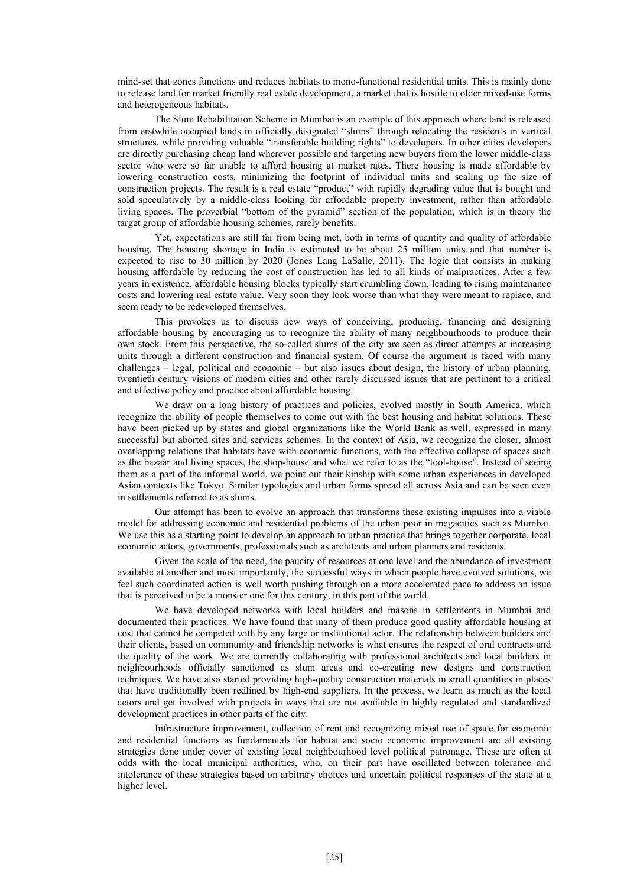mind-set that zones functions and reduces habitats to mono-functional residential units. This is mainly done to release land for market friendly real estate development, a market that is hostile to older mixed-use forms and heterogeneous habitats.

The Slum Rehabilitation Scheme in Mumbai is an example of this approach where land is released from erstwhile occupied lands in officially designated "slums" through relocating the residents in vertical structures, while providing valuable "transferable building rights" to developers. In other cities developers are directly purchasing cheap land wherever possible and targeting new buyers from the lower middle-class sector who were so far unable to afford housing at market rates. There housing is made affordable by lowering construction costs, minimizing the footprint of individual units and scaling up the size of construction projects. The result is a real estate "product" with rapidly degrading value that is bought and sold speculatively by a middle-class looking for affordable property investment, rather than affordable living spaces. The proverbial "bottom of the pyramid" section of the population, which is in theory the target group of affordable housing schemes, rarely benefits.

Yet, expectations are still far from being met, both in terms of quantity and quality of affordable housing. The housing shortage in India is estimated to be about 25 million units and that number is expected to rise to 30 million by 2020 (Jones Lang LaSalle, 2011). The logic that consists in making housing affordable by reducing the cost of construction has led to all kinds of malpractices. After a few years in existence, affordable housing blocks typically start crumbling down, leading to rising maintenance costs and lowering real estate value. Very soon they look worse than what they were meant to replace, and seem ready to be redeveloped themselves.

This provokes us to discuss new ways of conceiving, producing, financing and designing affordable housing by encouraging us to recognize the ability of many neighbourhoods to produce their own stock. From this perspective, the so-called slums of the city are seen as direct attempts at increasing units through a different construction and financial system. Of course the argument is faced with many challenges – legal, political and economic – but also issues about design, the history of urban planning, twentieth century visions of modern cities and other rarely discussed issues that are pertinent to a critical and effective policy and practice about affordable housing.

We draw on a long history of practices and policies, evolved mostly in South America, which recognize the ability of people themselves to come out with the best housing and habitat solutions. These have been picked up by states and global organizations like the World Bank as well, expressed in many successful but aborted sites and services schemes. In the context of Asia, we recognize the closer, almost overlapping relations that habitats have with economic functions, with the effective collapse of spaces such as the bazaar and living spaces, the shop-house and what we refer to as the "tool-house". Instead of seeing them as a part of the informal world, we point out their kinship with some urban experiences in developed Asian contexts like Tokyo. Similar typologies and urban forms spread all across Asia and can be seen even in settlements referred to as slums.

Our attempt has been to evolve an approach that transforms these existing impulses into a viable model for addressing economic and residential problems of the urban poor in megacities such as Mumbai. We use this as a starting point to develop an approach to urban practice that brings together corporate, local economic actors, governments, professionals such as architects and urban planners and residents.

Given the scale of the need, the paucity of resources at one level and the abundance of investment available at another and most importantly, the successful ways in which people have evolved solutions, we feel such coordinated action is well worth pushing through on a more accelerated pace to address an issue that is perceived to be a monster one for this century, in this part of the world.

We have developed networks with local builders and masons in settlements in Mumbai and documented their practices. We have found that many of them produce good quality affordable housing at cost that cannot be competed with by any large or institutional actor. The relationship between builders and their clients, based on community and friendship networks is what ensures the respect of oral contracts and the quality of the work. We are currently collaborating with professional architects and local builders in neighbourhoods officially sanctioned as slum areas and co-creating new designs and construction techniques. We have also started providing high-quality construction materials in small quantities in places that have traditionally been redlined by high-end suppliers. In the process, we learn as much as the local actors and get involved with projects in ways that are not available in highly regulated and standardized development practices in other parts of the city.

Infrastructure improvement, collection of rent and recognizing mixed use of space for economic and residential functions as fundamentals for habitat and socio economic improvement are all existing strategies done under cover of existing local neighbourhood level political patronage. These are often at odds with the local municipal authorities, who, on their part have oscillated between tolerance and intolerance of these strategies based on arbitrary choices and uncertain political responses of the state at a higher level.